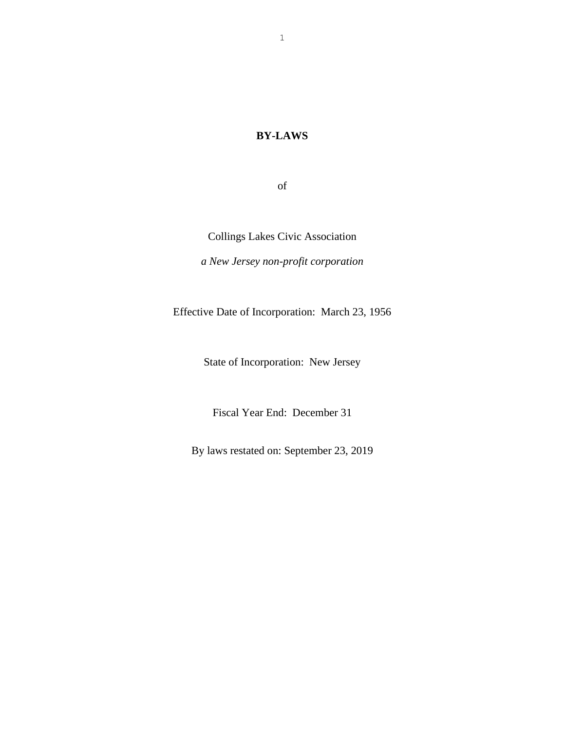## **BY-LAWS**

of

Collings Lakes Civic Association

*a New Jersey non-profit corporation*

Effective Date of Incorporation: March 23, 1956

State of Incorporation: New Jersey

Fiscal Year End: December 31

By laws restated on: September 23, 2019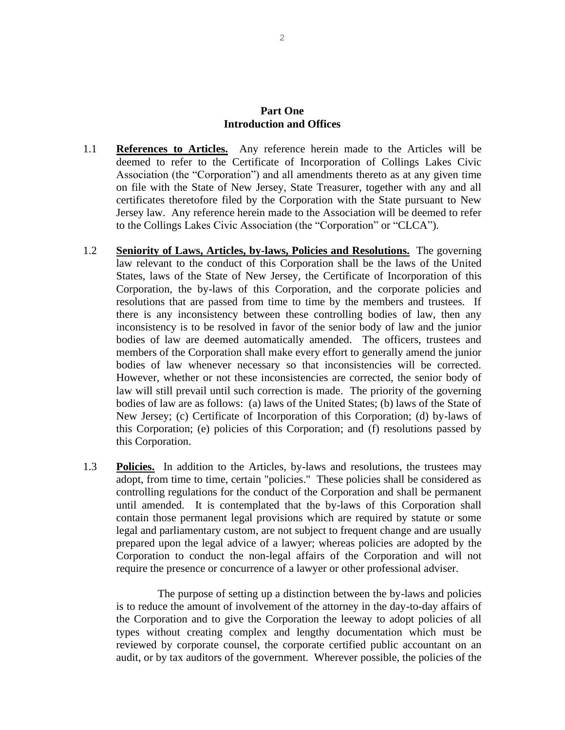#### **Part One Introduction and Offices**

- 1.1 **References to Articles.** Any reference herein made to the Articles will be deemed to refer to the Certificate of Incorporation of Collings Lakes Civic Association (the "Corporation") and all amendments thereto as at any given time on file with the State of New Jersey, State Treasurer, together with any and all certificates theretofore filed by the Corporation with the State pursuant to New Jersey law. Any reference herein made to the Association will be deemed to refer to the Collings Lakes Civic Association (the "Corporation" or "CLCA").
- 1.2 **Seniority of Laws, Articles, by-laws, Policies and Resolutions.** The governing law relevant to the conduct of this Corporation shall be the laws of the United States, laws of the State of New Jersey, the Certificate of Incorporation of this Corporation, the by-laws of this Corporation, and the corporate policies and resolutions that are passed from time to time by the members and trustees. If there is any inconsistency between these controlling bodies of law, then any inconsistency is to be resolved in favor of the senior body of law and the junior bodies of law are deemed automatically amended. The officers, trustees and members of the Corporation shall make every effort to generally amend the junior bodies of law whenever necessary so that inconsistencies will be corrected. However, whether or not these inconsistencies are corrected, the senior body of law will still prevail until such correction is made. The priority of the governing bodies of law are as follows: (a) laws of the United States; (b) laws of the State of New Jersey; (c) Certificate of Incorporation of this Corporation; (d) by-laws of this Corporation; (e) policies of this Corporation; and (f) resolutions passed by this Corporation.
- 1.3 **Policies.** In addition to the Articles, by-laws and resolutions, the trustees may adopt, from time to time, certain "policies." These policies shall be considered as controlling regulations for the conduct of the Corporation and shall be permanent until amended. It is contemplated that the by-laws of this Corporation shall contain those permanent legal provisions which are required by statute or some legal and parliamentary custom, are not subject to frequent change and are usually prepared upon the legal advice of a lawyer; whereas policies are adopted by the Corporation to conduct the non-legal affairs of the Corporation and will not require the presence or concurrence of a lawyer or other professional adviser.

The purpose of setting up a distinction between the by-laws and policies is to reduce the amount of involvement of the attorney in the day-to-day affairs of the Corporation and to give the Corporation the leeway to adopt policies of all types without creating complex and lengthy documentation which must be reviewed by corporate counsel, the corporate certified public accountant on an audit, or by tax auditors of the government. Wherever possible, the policies of the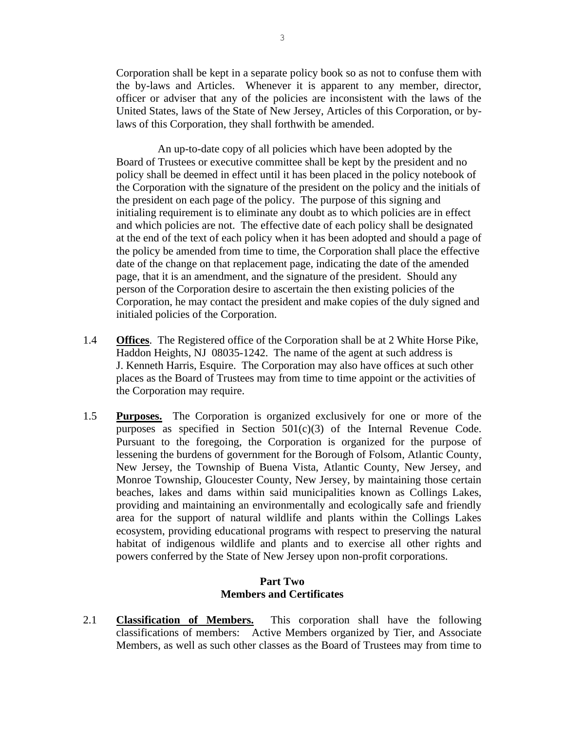Corporation shall be kept in a separate policy book so as not to confuse them with the by-laws and Articles. Whenever it is apparent to any member, director, officer or adviser that any of the policies are inconsistent with the laws of the United States, laws of the State of New Jersey, Articles of this Corporation, or bylaws of this Corporation, they shall forthwith be amended.

An up-to-date copy of all policies which have been adopted by the Board of Trustees or executive committee shall be kept by the president and no policy shall be deemed in effect until it has been placed in the policy notebook of the Corporation with the signature of the president on the policy and the initials of the president on each page of the policy. The purpose of this signing and initialing requirement is to eliminate any doubt as to which policies are in effect and which policies are not. The effective date of each policy shall be designated at the end of the text of each policy when it has been adopted and should a page of the policy be amended from time to time, the Corporation shall place the effective date of the change on that replacement page, indicating the date of the amended page, that it is an amendment, and the signature of the president. Should any person of the Corporation desire to ascertain the then existing policies of the Corporation, he may contact the president and make copies of the duly signed and initialed policies of the Corporation.

- 1.4 **Offices**. The Registered office of the Corporation shall be at 2 White Horse Pike, Haddon Heights, NJ 08035-1242. The name of the agent at such address is J. Kenneth Harris, Esquire. The Corporation may also have offices at such other places as the Board of Trustees may from time to time appoint or the activities of the Corporation may require.
- 1.5 **Purposes.** The Corporation is organized exclusively for one or more of the purposes as specified in Section 501(c)(3) of the Internal Revenue Code. Pursuant to the foregoing, the Corporation is organized for the purpose of lessening the burdens of government for the Borough of Folsom, Atlantic County, New Jersey, the Township of Buena Vista, Atlantic County, New Jersey, and Monroe Township, Gloucester County, New Jersey, by maintaining those certain beaches, lakes and dams within said municipalities known as Collings Lakes, providing and maintaining an environmentally and ecologically safe and friendly area for the support of natural wildlife and plants within the Collings Lakes ecosystem, providing educational programs with respect to preserving the natural habitat of indigenous wildlife and plants and to exercise all other rights and powers conferred by the State of New Jersey upon non-profit corporations.

#### **Part Two Members and Certificates**

2.1 **Classification of Members.** This corporation shall have the following classifications of members: Active Members organized by Tier, and Associate Members, as well as such other classes as the Board of Trustees may from time to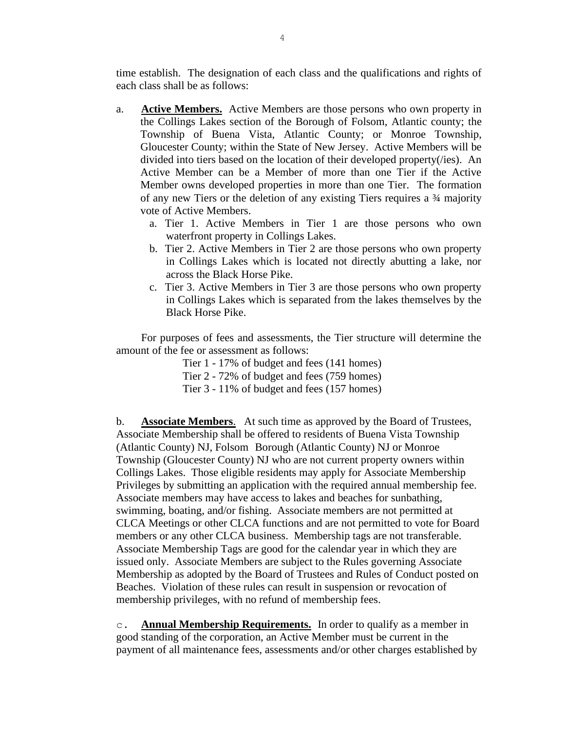time establish. The designation of each class and the qualifications and rights of each class shall be as follows:

- a. **Active Members.** Active Members are those persons who own property in the Collings Lakes section of the Borough of Folsom, Atlantic county; the Township of Buena Vista, Atlantic County; or Monroe Township, Gloucester County; within the State of New Jersey. Active Members will be divided into tiers based on the location of their developed property(/ies). An Active Member can be a Member of more than one Tier if the Active Member owns developed properties in more than one Tier. The formation of any new Tiers or the deletion of any existing Tiers requires a ¾ majority vote of Active Members.
	- a. Tier 1. Active Members in Tier 1 are those persons who own waterfront property in Collings Lakes.
	- b. Tier 2. Active Members in Tier 2 are those persons who own property in Collings Lakes which is located not directly abutting a lake, nor across the Black Horse Pike.
	- c. Tier 3. Active Members in Tier 3 are those persons who own property in Collings Lakes which is separated from the lakes themselves by the Black Horse Pike.

For purposes of fees and assessments, the Tier structure will determine the amount of the fee or assessment as follows:

Tier 1 - 17% of budget and fees (141 homes)

Tier 2 - 72% of budget and fees (759 homes)

Tier 3 - 11% of budget and fees (157 homes)

b. **Associate Members**. At such time as approved by the Board of Trustees, Associate Membership shall be offered to residents of Buena Vista Township (Atlantic County) NJ, Folsom Borough (Atlantic County) NJ or Monroe Township (Gloucester County) NJ who are not current property owners within Collings Lakes. Those eligible residents may apply for Associate Membership Privileges by submitting an application with the required annual membership fee. Associate members may have access to lakes and beaches for sunbathing, swimming, boating, and/or fishing. Associate members are not permitted at CLCA Meetings or other CLCA functions and are not permitted to vote for Board members or any other CLCA business. Membership tags are not transferable. Associate Membership Tags are good for the calendar year in which they are issued only. Associate Members are subject to the Rules governing Associate Membership as adopted by the Board of Trustees and Rules of Conduct posted on Beaches. Violation of these rules can result in suspension or revocation of membership privileges, with no refund of membership fees.

c. **Annual Membership Requirements.** In order to qualify as a member in good standing of the corporation, an Active Member must be current in the payment of all maintenance fees, assessments and/or other charges established by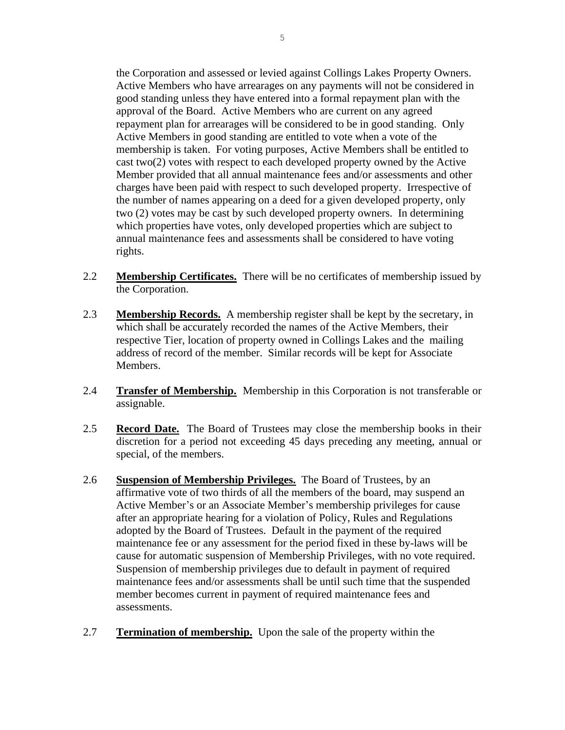the Corporation and assessed or levied against Collings Lakes Property Owners. Active Members who have arrearages on any payments will not be considered in good standing unless they have entered into a formal repayment plan with the approval of the Board. Active Members who are current on any agreed repayment plan for arrearages will be considered to be in good standing. Only Active Members in good standing are entitled to vote when a vote of the membership is taken. For voting purposes, Active Members shall be entitled to cast two(2) votes with respect to each developed property owned by the Active Member provided that all annual maintenance fees and/or assessments and other charges have been paid with respect to such developed property. Irrespective of the number of names appearing on a deed for a given developed property, only two (2) votes may be cast by such developed property owners. In determining which properties have votes, only developed properties which are subject to annual maintenance fees and assessments shall be considered to have voting rights.

- 2.2 **Membership Certificates.** There will be no certificates of membership issued by the Corporation.
- 2.3 **Membership Records.** A membership register shall be kept by the secretary, in which shall be accurately recorded the names of the Active Members, their respective Tier, location of property owned in Collings Lakes and the mailing address of record of the member. Similar records will be kept for Associate Members.
- 2.4 **Transfer of Membership.** Membership in this Corporation is not transferable or assignable.
- 2.5 **Record Date.** The Board of Trustees may close the membership books in their discretion for a period not exceeding 45 days preceding any meeting, annual or special, of the members.
- 2.6 **Suspension of Membership Privileges.** The Board of Trustees, by an affirmative vote of two thirds of all the members of the board, may suspend an Active Member's or an Associate Member's membership privileges for cause after an appropriate hearing for a violation of Policy, Rules and Regulations adopted by the Board of Trustees. Default in the payment of the required maintenance fee or any assessment for the period fixed in these by-laws will be cause for automatic suspension of Membership Privileges, with no vote required. Suspension of membership privileges due to default in payment of required maintenance fees and/or assessments shall be until such time that the suspended member becomes current in payment of required maintenance fees and assessments.
- 2.7 **Termination of membership.** Upon the sale of the property within the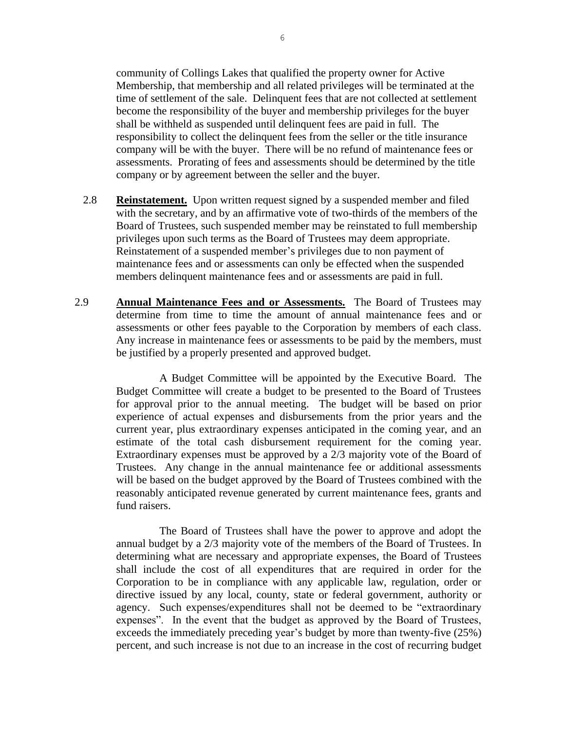community of Collings Lakes that qualified the property owner for Active Membership, that membership and all related privileges will be terminated at the time of settlement of the sale. Delinquent fees that are not collected at settlement become the responsibility of the buyer and membership privileges for the buyer shall be withheld as suspended until delinquent fees are paid in full. The responsibility to collect the delinquent fees from the seller or the title insurance company will be with the buyer. There will be no refund of maintenance fees or assessments. Prorating of fees and assessments should be determined by the title company or by agreement between the seller and the buyer.

- 2.8 **Reinstatement.** Upon written request signed by a suspended member and filed with the secretary, and by an affirmative vote of two-thirds of the members of the Board of Trustees, such suspended member may be reinstated to full membership privileges upon such terms as the Board of Trustees may deem appropriate. Reinstatement of a suspended member's privileges due to non payment of maintenance fees and or assessments can only be effected when the suspended members delinquent maintenance fees and or assessments are paid in full.
- 2.9 **Annual Maintenance Fees and or Assessments.** The Board of Trustees may determine from time to time the amount of annual maintenance fees and or assessments or other fees payable to the Corporation by members of each class. Any increase in maintenance fees or assessments to be paid by the members, must be justified by a properly presented and approved budget.

A Budget Committee will be appointed by the Executive Board. The Budget Committee will create a budget to be presented to the Board of Trustees for approval prior to the annual meeting. The budget will be based on prior experience of actual expenses and disbursements from the prior years and the current year, plus extraordinary expenses anticipated in the coming year, and an estimate of the total cash disbursement requirement for the coming year. Extraordinary expenses must be approved by a 2/3 majority vote of the Board of Trustees. Any change in the annual maintenance fee or additional assessments will be based on the budget approved by the Board of Trustees combined with the reasonably anticipated revenue generated by current maintenance fees, grants and fund raisers.

The Board of Trustees shall have the power to approve and adopt the annual budget by a 2/3 majority vote of the members of the Board of Trustees. In determining what are necessary and appropriate expenses, the Board of Trustees shall include the cost of all expenditures that are required in order for the Corporation to be in compliance with any applicable law, regulation, order or directive issued by any local, county, state or federal government, authority or agency. Such expenses/expenditures shall not be deemed to be "extraordinary expenses". In the event that the budget as approved by the Board of Trustees, exceeds the immediately preceding year's budget by more than twenty-five (25%) percent, and such increase is not due to an increase in the cost of recurring budget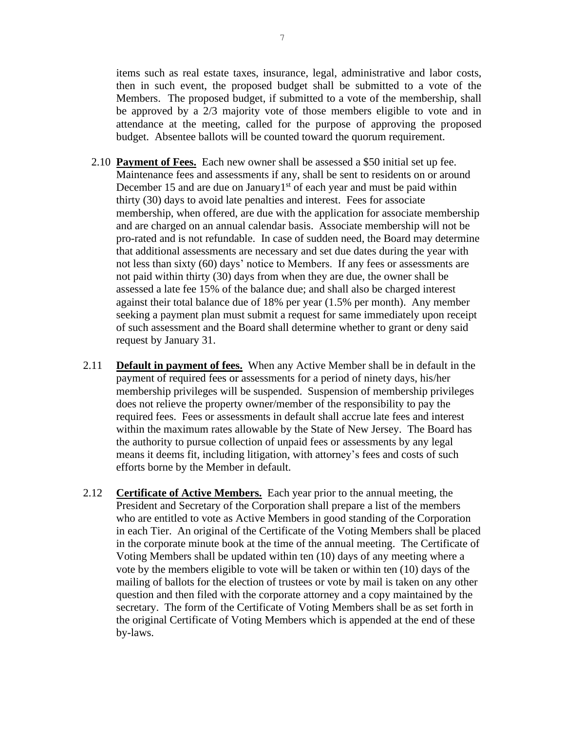items such as real estate taxes, insurance, legal, administrative and labor costs, then in such event, the proposed budget shall be submitted to a vote of the Members. The proposed budget, if submitted to a vote of the membership, shall be approved by a 2/3 majority vote of those members eligible to vote and in attendance at the meeting, called for the purpose of approving the proposed budget. Absentee ballots will be counted toward the quorum requirement.

- 2.10 **Payment of Fees.** Each new owner shall be assessed a \$50 initial set up fee. Maintenance fees and assessments if any, shall be sent to residents on or around December 15 and are due on January<sup>1st</sup> of each year and must be paid within thirty (30) days to avoid late penalties and interest. Fees for associate membership, when offered, are due with the application for associate membership and are charged on an annual calendar basis. Associate membership will not be pro-rated and is not refundable. In case of sudden need, the Board may determine that additional assessments are necessary and set due dates during the year with not less than sixty (60) days' notice to Members. If any fees or assessments are not paid within thirty (30) days from when they are due, the owner shall be assessed a late fee 15% of the balance due; and shall also be charged interest against their total balance due of 18% per year (1.5% per month). Any member seeking a payment plan must submit a request for same immediately upon receipt of such assessment and the Board shall determine whether to grant or deny said request by January 31.
- 2.11 **Default in payment of fees.** When any Active Member shall be in default in the payment of required fees or assessments for a period of ninety days, his/her membership privileges will be suspended. Suspension of membership privileges does not relieve the property owner/member of the responsibility to pay the required fees. Fees or assessments in default shall accrue late fees and interest within the maximum rates allowable by the State of New Jersey. The Board has the authority to pursue collection of unpaid fees or assessments by any legal means it deems fit, including litigation, with attorney's fees and costs of such efforts borne by the Member in default.
- 2.12 **Certificate of Active Members.** Each year prior to the annual meeting, the President and Secretary of the Corporation shall prepare a list of the members who are entitled to vote as Active Members in good standing of the Corporation in each Tier. An original of the Certificate of the Voting Members shall be placed in the corporate minute book at the time of the annual meeting. The Certificate of Voting Members shall be updated within ten (10) days of any meeting where a vote by the members eligible to vote will be taken or within ten (10) days of the mailing of ballots for the election of trustees or vote by mail is taken on any other question and then filed with the corporate attorney and a copy maintained by the secretary. The form of the Certificate of Voting Members shall be as set forth in the original Certificate of Voting Members which is appended at the end of these by-laws.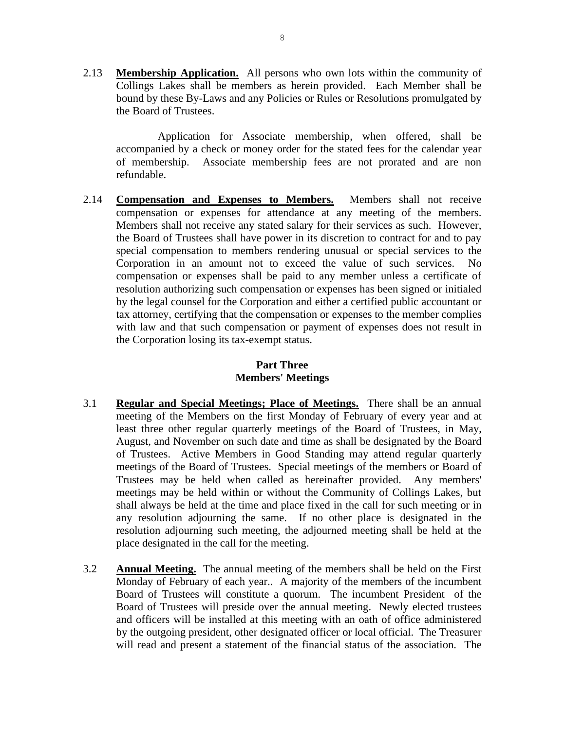2.13 **Membership Application.** All persons who own lots within the community of Collings Lakes shall be members as herein provided. Each Member shall be bound by these By-Laws and any Policies or Rules or Resolutions promulgated by the Board of Trustees.

Application for Associate membership, when offered, shall be accompanied by a check or money order for the stated fees for the calendar year of membership. Associate membership fees are not prorated and are non refundable.

2.14 **Compensation and Expenses to Members.** Members shall not receive compensation or expenses for attendance at any meeting of the members. Members shall not receive any stated salary for their services as such. However, the Board of Trustees shall have power in its discretion to contract for and to pay special compensation to members rendering unusual or special services to the Corporation in an amount not to exceed the value of such services. No compensation or expenses shall be paid to any member unless a certificate of resolution authorizing such compensation or expenses has been signed or initialed by the legal counsel for the Corporation and either a certified public accountant or tax attorney, certifying that the compensation or expenses to the member complies with law and that such compensation or payment of expenses does not result in the Corporation losing its tax-exempt status.

## **Part Three Members' Meetings**

- 3.1 **Regular and Special Meetings; Place of Meetings.** There shall be an annual meeting of the Members on the first Monday of February of every year and at least three other regular quarterly meetings of the Board of Trustees, in May, August, and November on such date and time as shall be designated by the Board of Trustees. Active Members in Good Standing may attend regular quarterly meetings of the Board of Trustees. Special meetings of the members or Board of Trustees may be held when called as hereinafter provided. Any members' meetings may be held within or without the Community of Collings Lakes, but shall always be held at the time and place fixed in the call for such meeting or in any resolution adjourning the same. If no other place is designated in the resolution adjourning such meeting, the adjourned meeting shall be held at the place designated in the call for the meeting.
- 3.2 **Annual Meeting.** The annual meeting of the members shall be held on the First Monday of February of each year.. A majority of the members of the incumbent Board of Trustees will constitute a quorum. The incumbent President of the Board of Trustees will preside over the annual meeting. Newly elected trustees and officers will be installed at this meeting with an oath of office administered by the outgoing president, other designated officer or local official. The Treasurer will read and present a statement of the financial status of the association. The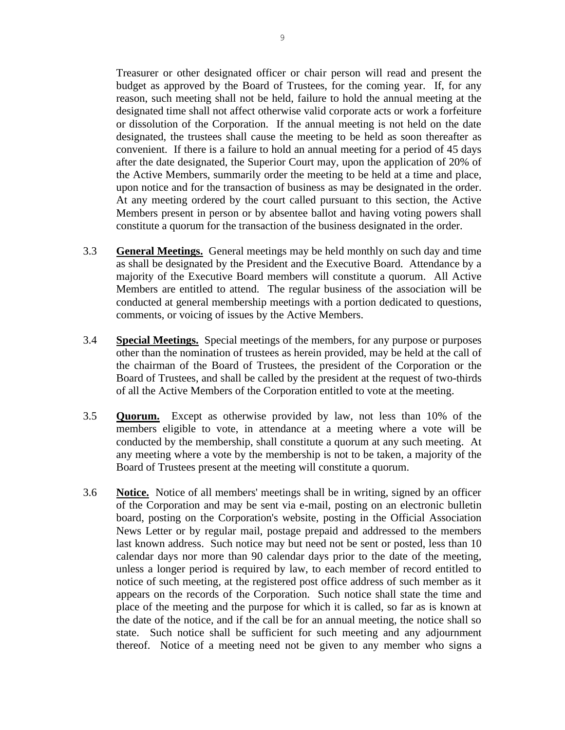Treasurer or other designated officer or chair person will read and present the budget as approved by the Board of Trustees, for the coming year. If, for any reason, such meeting shall not be held, failure to hold the annual meeting at the designated time shall not affect otherwise valid corporate acts or work a forfeiture or dissolution of the Corporation. If the annual meeting is not held on the date designated, the trustees shall cause the meeting to be held as soon thereafter as convenient. If there is a failure to hold an annual meeting for a period of 45 days after the date designated, the Superior Court may, upon the application of 20% of the Active Members, summarily order the meeting to be held at a time and place, upon notice and for the transaction of business as may be designated in the order. At any meeting ordered by the court called pursuant to this section, the Active Members present in person or by absentee ballot and having voting powers shall constitute a quorum for the transaction of the business designated in the order.

- 3.3 **General Meetings.** General meetings may be held monthly on such day and time as shall be designated by the President and the Executive Board. Attendance by a majority of the Executive Board members will constitute a quorum. All Active Members are entitled to attend. The regular business of the association will be conducted at general membership meetings with a portion dedicated to questions, comments, or voicing of issues by the Active Members.
- 3.4 **Special Meetings.** Special meetings of the members, for any purpose or purposes other than the nomination of trustees as herein provided, may be held at the call of the chairman of the Board of Trustees, the president of the Corporation or the Board of Trustees, and shall be called by the president at the request of two-thirds of all the Active Members of the Corporation entitled to vote at the meeting.
- 3.5 **Quorum.** Except as otherwise provided by law, not less than 10% of the members eligible to vote, in attendance at a meeting where a vote will be conducted by the membership, shall constitute a quorum at any such meeting. At any meeting where a vote by the membership is not to be taken, a majority of the Board of Trustees present at the meeting will constitute a quorum.
- 3.6 **Notice.** Notice of all members' meetings shall be in writing, signed by an officer of the Corporation and may be sent via e-mail, posting on an electronic bulletin board, posting on the Corporation's website, posting in the Official Association News Letter or by regular mail, postage prepaid and addressed to the members last known address. Such notice may but need not be sent or posted, less than 10 calendar days nor more than 90 calendar days prior to the date of the meeting, unless a longer period is required by law, to each member of record entitled to notice of such meeting, at the registered post office address of such member as it appears on the records of the Corporation. Such notice shall state the time and place of the meeting and the purpose for which it is called, so far as is known at the date of the notice, and if the call be for an annual meeting, the notice shall so state. Such notice shall be sufficient for such meeting and any adjournment thereof. Notice of a meeting need not be given to any member who signs a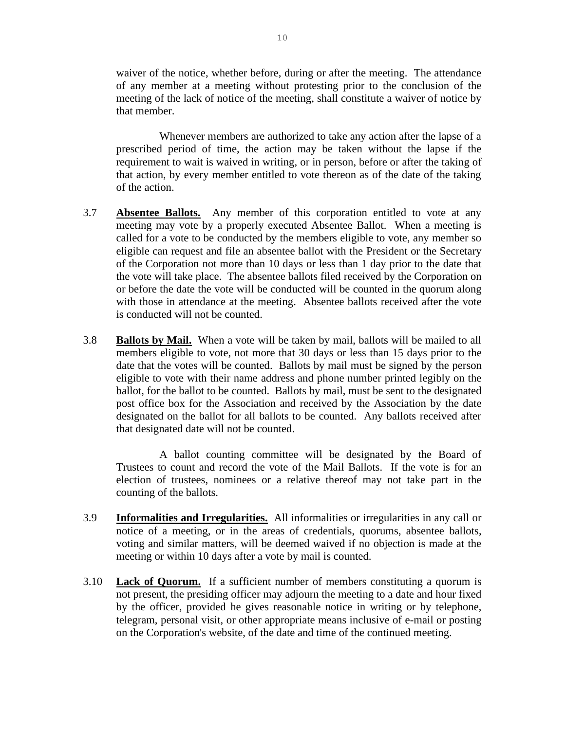waiver of the notice, whether before, during or after the meeting. The attendance of any member at a meeting without protesting prior to the conclusion of the meeting of the lack of notice of the meeting, shall constitute a waiver of notice by that member.

Whenever members are authorized to take any action after the lapse of a prescribed period of time, the action may be taken without the lapse if the requirement to wait is waived in writing, or in person, before or after the taking of that action, by every member entitled to vote thereon as of the date of the taking of the action.

- 3.7 **Absentee Ballots.** Any member of this corporation entitled to vote at any meeting may vote by a properly executed Absentee Ballot. When a meeting is called for a vote to be conducted by the members eligible to vote, any member so eligible can request and file an absentee ballot with the President or the Secretary of the Corporation not more than 10 days or less than 1 day prior to the date that the vote will take place. The absentee ballots filed received by the Corporation on or before the date the vote will be conducted will be counted in the quorum along with those in attendance at the meeting. Absentee ballots received after the vote is conducted will not be counted.
- 3.8 **Ballots by Mail.** When a vote will be taken by mail, ballots will be mailed to all members eligible to vote, not more that 30 days or less than 15 days prior to the date that the votes will be counted. Ballots by mail must be signed by the person eligible to vote with their name address and phone number printed legibly on the ballot, for the ballot to be counted. Ballots by mail, must be sent to the designated post office box for the Association and received by the Association by the date designated on the ballot for all ballots to be counted. Any ballots received after that designated date will not be counted.

A ballot counting committee will be designated by the Board of Trustees to count and record the vote of the Mail Ballots. If the vote is for an election of trustees, nominees or a relative thereof may not take part in the counting of the ballots.

- 3.9 **Informalities and Irregularities.** All informalities or irregularities in any call or notice of a meeting, or in the areas of credentials, quorums, absentee ballots, voting and similar matters, will be deemed waived if no objection is made at the meeting or within 10 days after a vote by mail is counted.
- 3.10 **Lack of Quorum.** If a sufficient number of members constituting a quorum is not present, the presiding officer may adjourn the meeting to a date and hour fixed by the officer, provided he gives reasonable notice in writing or by telephone, telegram, personal visit, or other appropriate means inclusive of e-mail or posting on the Corporation's website, of the date and time of the continued meeting.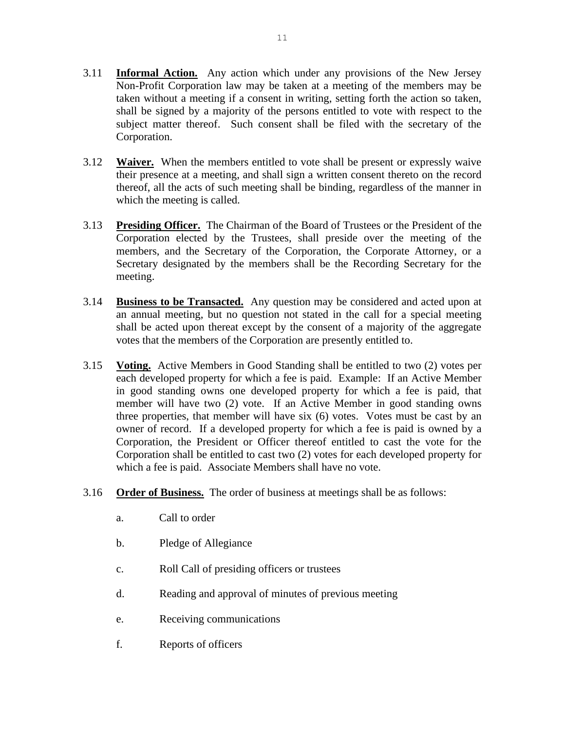- 3.11 **Informal Action.** Any action which under any provisions of the New Jersey Non-Profit Corporation law may be taken at a meeting of the members may be taken without a meeting if a consent in writing, setting forth the action so taken, shall be signed by a majority of the persons entitled to vote with respect to the subject matter thereof. Such consent shall be filed with the secretary of the Corporation.
- 3.12 **Waiver.** When the members entitled to vote shall be present or expressly waive their presence at a meeting, and shall sign a written consent thereto on the record thereof, all the acts of such meeting shall be binding, regardless of the manner in which the meeting is called.
- 3.13 **Presiding Officer.** The Chairman of the Board of Trustees or the President of the Corporation elected by the Trustees, shall preside over the meeting of the members, and the Secretary of the Corporation, the Corporate Attorney, or a Secretary designated by the members shall be the Recording Secretary for the meeting.
- 3.14 **Business to be Transacted.** Any question may be considered and acted upon at an annual meeting, but no question not stated in the call for a special meeting shall be acted upon thereat except by the consent of a majority of the aggregate votes that the members of the Corporation are presently entitled to.
- 3.15 **Voting.** Active Members in Good Standing shall be entitled to two (2) votes per each developed property for which a fee is paid. Example: If an Active Member in good standing owns one developed property for which a fee is paid, that member will have two (2) vote. If an Active Member in good standing owns three properties, that member will have six (6) votes. Votes must be cast by an owner of record. If a developed property for which a fee is paid is owned by a Corporation, the President or Officer thereof entitled to cast the vote for the Corporation shall be entitled to cast two (2) votes for each developed property for which a fee is paid. Associate Members shall have no vote.
- 3.16 **Order of Business.** The order of business at meetings shall be as follows:
	- a. Call to order
	- b. Pledge of Allegiance
	- c. Roll Call of presiding officers or trustees
	- d. Reading and approval of minutes of previous meeting
	- e. Receiving communications
	- f. Reports of officers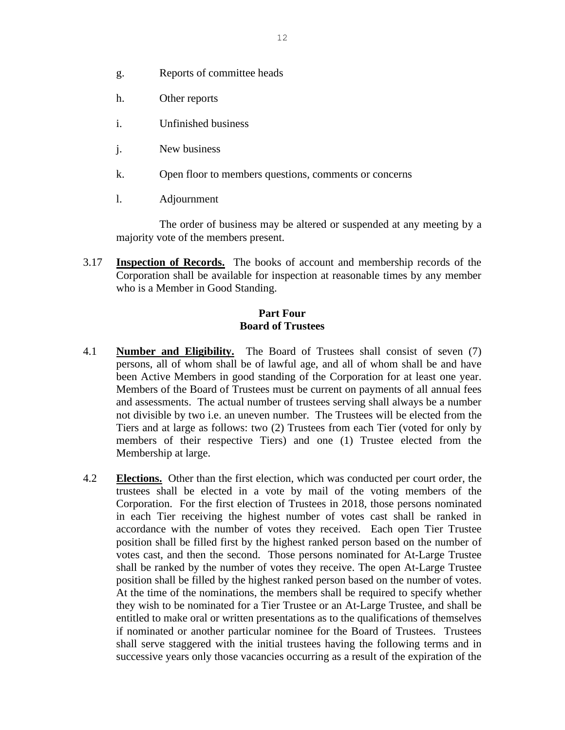- g. Reports of committee heads
- h. Other reports
- i. Unfinished business
- j. New business
- k. Open floor to members questions, comments or concerns
- l. Adjournment

The order of business may be altered or suspended at any meeting by a majority vote of the members present.

3.17 **Inspection of Records.** The books of account and membership records of the Corporation shall be available for inspection at reasonable times by any member who is a Member in Good Standing.

#### **Part Four Board of Trustees**

- 4.1 **Number and Eligibility.** The Board of Trustees shall consist of seven (7) persons, all of whom shall be of lawful age, and all of whom shall be and have been Active Members in good standing of the Corporation for at least one year. Members of the Board of Trustees must be current on payments of all annual fees and assessments. The actual number of trustees serving shall always be a number not divisible by two i.e. an uneven number. The Trustees will be elected from the Tiers and at large as follows: two (2) Trustees from each Tier (voted for only by members of their respective Tiers) and one (1) Trustee elected from the Membership at large.
- 4.2 **Elections.** Other than the first election, which was conducted per court order, the trustees shall be elected in a vote by mail of the voting members of the Corporation. For the first election of Trustees in 2018, those persons nominated in each Tier receiving the highest number of votes cast shall be ranked in accordance with the number of votes they received. Each open Tier Trustee position shall be filled first by the highest ranked person based on the number of votes cast, and then the second. Those persons nominated for At-Large Trustee shall be ranked by the number of votes they receive. The open At-Large Trustee position shall be filled by the highest ranked person based on the number of votes. At the time of the nominations, the members shall be required to specify whether they wish to be nominated for a Tier Trustee or an At-Large Trustee, and shall be entitled to make oral or written presentations as to the qualifications of themselves if nominated or another particular nominee for the Board of Trustees. Trustees shall serve staggered with the initial trustees having the following terms and in successive years only those vacancies occurring as a result of the expiration of the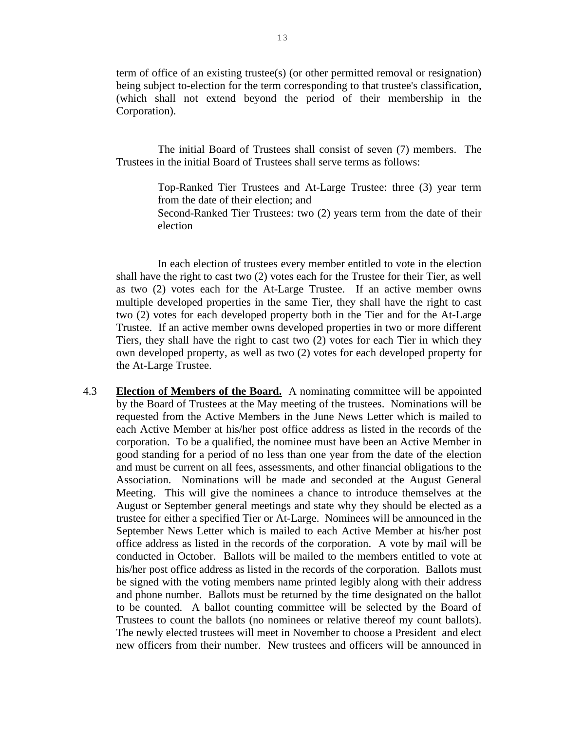term of office of an existing trustee(s) (or other permitted removal or resignation) being subject to-election for the term corresponding to that trustee's classification, (which shall not extend beyond the period of their membership in the Corporation).

The initial Board of Trustees shall consist of seven (7) members. The Trustees in the initial Board of Trustees shall serve terms as follows:

> Top-Ranked Tier Trustees and At-Large Trustee: three (3) year term from the date of their election; and Second-Ranked Tier Trustees: two (2) years term from the date of their election

In each election of trustees every member entitled to vote in the election shall have the right to cast two (2) votes each for the Trustee for their Tier, as well as two (2) votes each for the At-Large Trustee. If an active member owns multiple developed properties in the same Tier, they shall have the right to cast two (2) votes for each developed property both in the Tier and for the At-Large Trustee. If an active member owns developed properties in two or more different Tiers, they shall have the right to cast two (2) votes for each Tier in which they own developed property, as well as two (2) votes for each developed property for the At-Large Trustee.

4.3 **Election of Members of the Board.** A nominating committee will be appointed by the Board of Trustees at the May meeting of the trustees. Nominations will be requested from the Active Members in the June News Letter which is mailed to each Active Member at his/her post office address as listed in the records of the corporation. To be a qualified, the nominee must have been an Active Member in good standing for a period of no less than one year from the date of the election and must be current on all fees, assessments, and other financial obligations to the Association. Nominations will be made and seconded at the August General Meeting. This will give the nominees a chance to introduce themselves at the August or September general meetings and state why they should be elected as a trustee for either a specified Tier or At-Large. Nominees will be announced in the September News Letter which is mailed to each Active Member at his/her post office address as listed in the records of the corporation. A vote by mail will be conducted in October. Ballots will be mailed to the members entitled to vote at his/her post office address as listed in the records of the corporation. Ballots must be signed with the voting members name printed legibly along with their address and phone number. Ballots must be returned by the time designated on the ballot to be counted. A ballot counting committee will be selected by the Board of Trustees to count the ballots (no nominees or relative thereof my count ballots). The newly elected trustees will meet in November to choose a President and elect new officers from their number. New trustees and officers will be announced in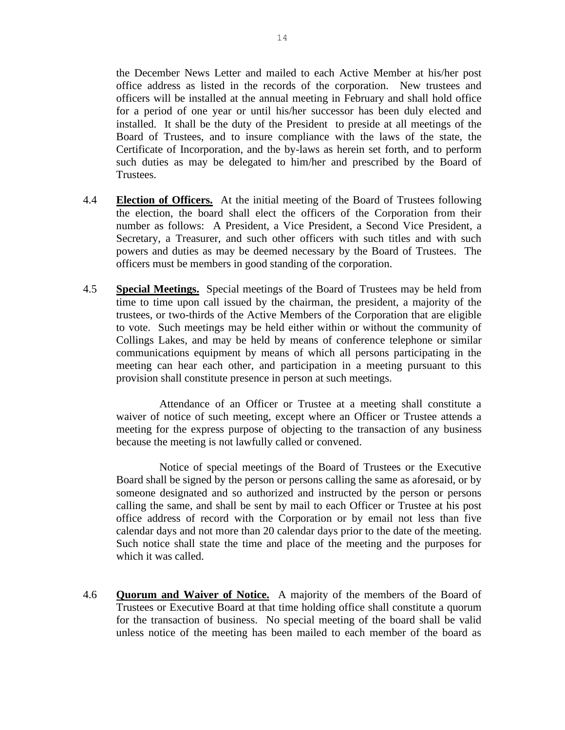the December News Letter and mailed to each Active Member at his/her post office address as listed in the records of the corporation. New trustees and officers will be installed at the annual meeting in February and shall hold office for a period of one year or until his/her successor has been duly elected and installed. It shall be the duty of the President to preside at all meetings of the Board of Trustees, and to insure compliance with the laws of the state, the Certificate of Incorporation, and the by-laws as herein set forth, and to perform such duties as may be delegated to him/her and prescribed by the Board of Trustees.

- 4.4 **Election of Officers.** At the initial meeting of the Board of Trustees following the election, the board shall elect the officers of the Corporation from their number as follows: A President, a Vice President, a Second Vice President, a Secretary, a Treasurer, and such other officers with such titles and with such powers and duties as may be deemed necessary by the Board of Trustees. The officers must be members in good standing of the corporation.
- 4.5 **Special Meetings.** Special meetings of the Board of Trustees may be held from time to time upon call issued by the chairman, the president, a majority of the trustees, or two-thirds of the Active Members of the Corporation that are eligible to vote. Such meetings may be held either within or without the community of Collings Lakes, and may be held by means of conference telephone or similar communications equipment by means of which all persons participating in the meeting can hear each other, and participation in a meeting pursuant to this provision shall constitute presence in person at such meetings.

Attendance of an Officer or Trustee at a meeting shall constitute a waiver of notice of such meeting, except where an Officer or Trustee attends a meeting for the express purpose of objecting to the transaction of any business because the meeting is not lawfully called or convened.

Notice of special meetings of the Board of Trustees or the Executive Board shall be signed by the person or persons calling the same as aforesaid, or by someone designated and so authorized and instructed by the person or persons calling the same, and shall be sent by mail to each Officer or Trustee at his post office address of record with the Corporation or by email not less than five calendar days and not more than 20 calendar days prior to the date of the meeting. Such notice shall state the time and place of the meeting and the purposes for which it was called.

4.6 **Quorum and Waiver of Notice.** A majority of the members of the Board of Trustees or Executive Board at that time holding office shall constitute a quorum for the transaction of business. No special meeting of the board shall be valid unless notice of the meeting has been mailed to each member of the board as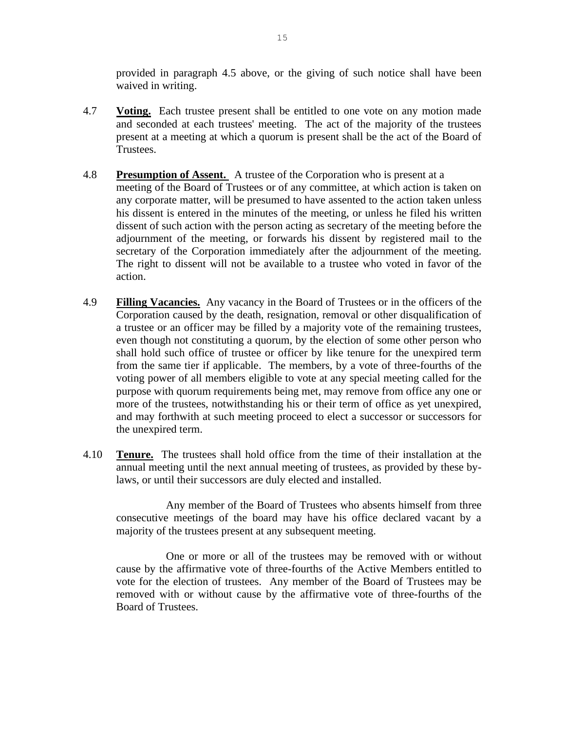provided in paragraph 4.5 above, or the giving of such notice shall have been waived in writing.

- 4.7 **Voting.** Each trustee present shall be entitled to one vote on any motion made and seconded at each trustees' meeting. The act of the majority of the trustees present at a meeting at which a quorum is present shall be the act of the Board of Trustees.
- 4.8 **Presumption of Assent.** A trustee of the Corporation who is present at a meeting of the Board of Trustees or of any committee, at which action is taken on any corporate matter, will be presumed to have assented to the action taken unless his dissent is entered in the minutes of the meeting, or unless he filed his written dissent of such action with the person acting as secretary of the meeting before the adjournment of the meeting, or forwards his dissent by registered mail to the secretary of the Corporation immediately after the adjournment of the meeting. The right to dissent will not be available to a trustee who voted in favor of the action.
- 4.9 **Filling Vacancies.** Any vacancy in the Board of Trustees or in the officers of the Corporation caused by the death, resignation, removal or other disqualification of a trustee or an officer may be filled by a majority vote of the remaining trustees, even though not constituting a quorum, by the election of some other person who shall hold such office of trustee or officer by like tenure for the unexpired term from the same tier if applicable. The members, by a vote of three-fourths of the voting power of all members eligible to vote at any special meeting called for the purpose with quorum requirements being met, may remove from office any one or more of the trustees, notwithstanding his or their term of office as yet unexpired, and may forthwith at such meeting proceed to elect a successor or successors for the unexpired term.
- 4.10 **Tenure.** The trustees shall hold office from the time of their installation at the annual meeting until the next annual meeting of trustees, as provided by these bylaws, or until their successors are duly elected and installed.

Any member of the Board of Trustees who absents himself from three consecutive meetings of the board may have his office declared vacant by a majority of the trustees present at any subsequent meeting.

One or more or all of the trustees may be removed with or without cause by the affirmative vote of three-fourths of the Active Members entitled to vote for the election of trustees. Any member of the Board of Trustees may be removed with or without cause by the affirmative vote of three-fourths of the Board of Trustees.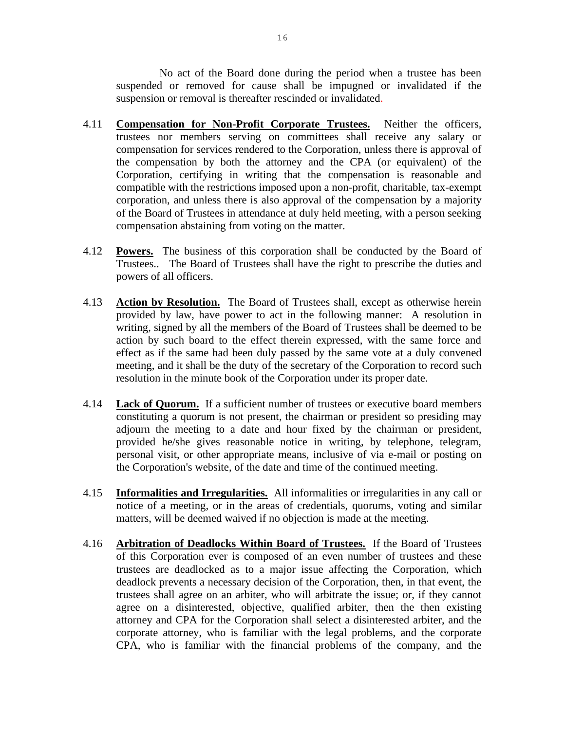No act of the Board done during the period when a trustee has been suspended or removed for cause shall be impugned or invalidated if the suspension or removal is thereafter rescinded or invalidated.

- 4.11 **Compensation for Non-Profit Corporate Trustees.** Neither the officers, trustees nor members serving on committees shall receive any salary or compensation for services rendered to the Corporation, unless there is approval of the compensation by both the attorney and the CPA (or equivalent) of the Corporation, certifying in writing that the compensation is reasonable and compatible with the restrictions imposed upon a non-profit, charitable, tax-exempt corporation, and unless there is also approval of the compensation by a majority of the Board of Trustees in attendance at duly held meeting, with a person seeking compensation abstaining from voting on the matter.
- 4.12 **Powers.** The business of this corporation shall be conducted by the Board of Trustees.. The Board of Trustees shall have the right to prescribe the duties and powers of all officers.
- 4.13 **Action by Resolution.** The Board of Trustees shall, except as otherwise herein provided by law, have power to act in the following manner: A resolution in writing, signed by all the members of the Board of Trustees shall be deemed to be action by such board to the effect therein expressed, with the same force and effect as if the same had been duly passed by the same vote at a duly convened meeting, and it shall be the duty of the secretary of the Corporation to record such resolution in the minute book of the Corporation under its proper date.
- 4.14 **Lack of Quorum.** If a sufficient number of trustees or executive board members constituting a quorum is not present, the chairman or president so presiding may adjourn the meeting to a date and hour fixed by the chairman or president, provided he/she gives reasonable notice in writing, by telephone, telegram, personal visit, or other appropriate means, inclusive of via e-mail or posting on the Corporation's website, of the date and time of the continued meeting.
- 4.15 **Informalities and Irregularities.** All informalities or irregularities in any call or notice of a meeting, or in the areas of credentials, quorums, voting and similar matters, will be deemed waived if no objection is made at the meeting.
- 4.16 **Arbitration of Deadlocks Within Board of Trustees.** If the Board of Trustees of this Corporation ever is composed of an even number of trustees and these trustees are deadlocked as to a major issue affecting the Corporation, which deadlock prevents a necessary decision of the Corporation, then, in that event, the trustees shall agree on an arbiter, who will arbitrate the issue; or, if they cannot agree on a disinterested, objective, qualified arbiter, then the then existing attorney and CPA for the Corporation shall select a disinterested arbiter, and the corporate attorney, who is familiar with the legal problems, and the corporate CPA, who is familiar with the financial problems of the company, and the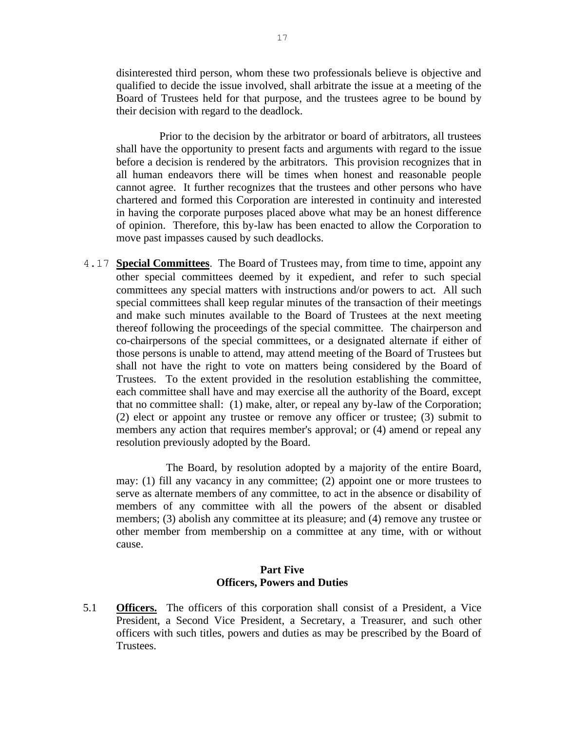disinterested third person, whom these two professionals believe is objective and qualified to decide the issue involved, shall arbitrate the issue at a meeting of the Board of Trustees held for that purpose, and the trustees agree to be bound by their decision with regard to the deadlock.

Prior to the decision by the arbitrator or board of arbitrators, all trustees shall have the opportunity to present facts and arguments with regard to the issue before a decision is rendered by the arbitrators. This provision recognizes that in all human endeavors there will be times when honest and reasonable people cannot agree. It further recognizes that the trustees and other persons who have chartered and formed this Corporation are interested in continuity and interested in having the corporate purposes placed above what may be an honest difference of opinion. Therefore, this by-law has been enacted to allow the Corporation to move past impasses caused by such deadlocks.

4.17 **Special Committees**. The Board of Trustees may, from time to time, appoint any other special committees deemed by it expedient, and refer to such special committees any special matters with instructions and/or powers to act. All such special committees shall keep regular minutes of the transaction of their meetings and make such minutes available to the Board of Trustees at the next meeting thereof following the proceedings of the special committee. The chairperson and co-chairpersons of the special committees, or a designated alternate if either of those persons is unable to attend, may attend meeting of the Board of Trustees but shall not have the right to vote on matters being considered by the Board of Trustees. To the extent provided in the resolution establishing the committee, each committee shall have and may exercise all the authority of the Board, except that no committee shall: (1) make, alter, or repeal any by-law of the Corporation; (2) elect or appoint any trustee or remove any officer or trustee; (3) submit to members any action that requires member's approval; or (4) amend or repeal any resolution previously adopted by the Board.

The Board, by resolution adopted by a majority of the entire Board, may: (1) fill any vacancy in any committee; (2) appoint one or more trustees to serve as alternate members of any committee, to act in the absence or disability of members of any committee with all the powers of the absent or disabled members; (3) abolish any committee at its pleasure; and (4) remove any trustee or other member from membership on a committee at any time, with or without cause.

#### **Part Five Officers, Powers and Duties**

5.1 **Officers.** The officers of this corporation shall consist of a President, a Vice President, a Second Vice President, a Secretary, a Treasurer, and such other officers with such titles, powers and duties as may be prescribed by the Board of Trustees.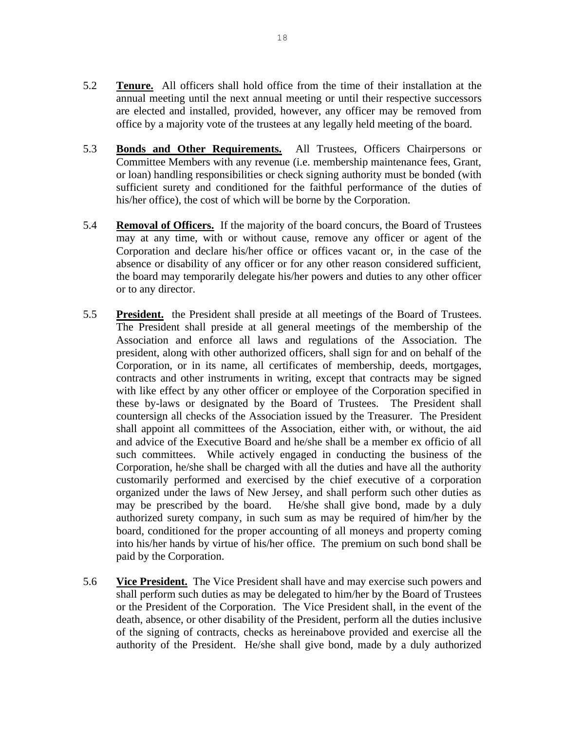- 5.2 **Tenure.** All officers shall hold office from the time of their installation at the annual meeting until the next annual meeting or until their respective successors are elected and installed, provided, however, any officer may be removed from office by a majority vote of the trustees at any legally held meeting of the board.
- 5.3 **Bonds and Other Requirements.** All Trustees, Officers Chairpersons or Committee Members with any revenue (i.e. membership maintenance fees, Grant, or loan) handling responsibilities or check signing authority must be bonded (with sufficient surety and conditioned for the faithful performance of the duties of his/her office), the cost of which will be borne by the Corporation.
- 5.4 **Removal of Officers.** If the majority of the board concurs, the Board of Trustees may at any time, with or without cause, remove any officer or agent of the Corporation and declare his/her office or offices vacant or, in the case of the absence or disability of any officer or for any other reason considered sufficient, the board may temporarily delegate his/her powers and duties to any other officer or to any director.
- 5.5 **President.** the President shall preside at all meetings of the Board of Trustees. The President shall preside at all general meetings of the membership of the Association and enforce all laws and regulations of the Association. The president, along with other authorized officers, shall sign for and on behalf of the Corporation, or in its name, all certificates of membership, deeds, mortgages, contracts and other instruments in writing, except that contracts may be signed with like effect by any other officer or employee of the Corporation specified in these by-laws or designated by the Board of Trustees. The President shall countersign all checks of the Association issued by the Treasurer. The President shall appoint all committees of the Association, either with, or without, the aid and advice of the Executive Board and he/she shall be a member ex officio of all such committees. While actively engaged in conducting the business of the Corporation, he/she shall be charged with all the duties and have all the authority customarily performed and exercised by the chief executive of a corporation organized under the laws of New Jersey, and shall perform such other duties as may be prescribed by the board. He/she shall give bond, made by a duly authorized surety company, in such sum as may be required of him/her by the board, conditioned for the proper accounting of all moneys and property coming into his/her hands by virtue of his/her office. The premium on such bond shall be paid by the Corporation.
- 5.6 **Vice President.** The Vice President shall have and may exercise such powers and shall perform such duties as may be delegated to him/her by the Board of Trustees or the President of the Corporation. The Vice President shall, in the event of the death, absence, or other disability of the President, perform all the duties inclusive of the signing of contracts, checks as hereinabove provided and exercise all the authority of the President. He/she shall give bond, made by a duly authorized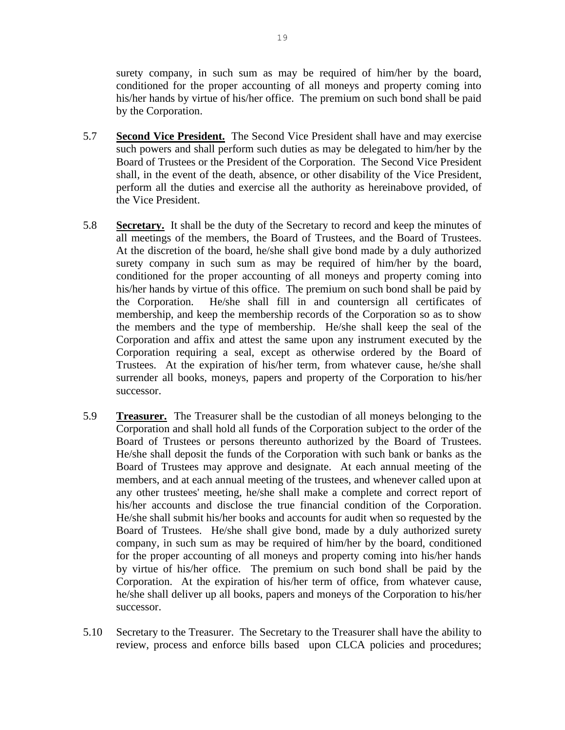surety company, in such sum as may be required of him/her by the board, conditioned for the proper accounting of all moneys and property coming into his/her hands by virtue of his/her office. The premium on such bond shall be paid by the Corporation.

- 5.7 **Second Vice President.** The Second Vice President shall have and may exercise such powers and shall perform such duties as may be delegated to him/her by the Board of Trustees or the President of the Corporation. The Second Vice President shall, in the event of the death, absence, or other disability of the Vice President, perform all the duties and exercise all the authority as hereinabove provided, of the Vice President.
- 5.8 **Secretary.** It shall be the duty of the Secretary to record and keep the minutes of all meetings of the members, the Board of Trustees, and the Board of Trustees. At the discretion of the board, he/she shall give bond made by a duly authorized surety company in such sum as may be required of him/her by the board, conditioned for the proper accounting of all moneys and property coming into his/her hands by virtue of this office. The premium on such bond shall be paid by the Corporation. He/she shall fill in and countersign all certificates of membership, and keep the membership records of the Corporation so as to show the members and the type of membership. He/she shall keep the seal of the Corporation and affix and attest the same upon any instrument executed by the Corporation requiring a seal, except as otherwise ordered by the Board of Trustees. At the expiration of his/her term, from whatever cause, he/she shall surrender all books, moneys, papers and property of the Corporation to his/her successor.
- 5.9 **Treasurer.** The Treasurer shall be the custodian of all moneys belonging to the Corporation and shall hold all funds of the Corporation subject to the order of the Board of Trustees or persons thereunto authorized by the Board of Trustees. He/she shall deposit the funds of the Corporation with such bank or banks as the Board of Trustees may approve and designate. At each annual meeting of the members, and at each annual meeting of the trustees, and whenever called upon at any other trustees' meeting, he/she shall make a complete and correct report of his/her accounts and disclose the true financial condition of the Corporation. He/she shall submit his/her books and accounts for audit when so requested by the Board of Trustees. He/she shall give bond, made by a duly authorized surety company, in such sum as may be required of him/her by the board, conditioned for the proper accounting of all moneys and property coming into his/her hands by virtue of his/her office. The premium on such bond shall be paid by the Corporation. At the expiration of his/her term of office, from whatever cause, he/she shall deliver up all books, papers and moneys of the Corporation to his/her successor.
- 5.10 Secretary to the Treasurer. The Secretary to the Treasurer shall have the ability to review, process and enforce bills based upon CLCA policies and procedures;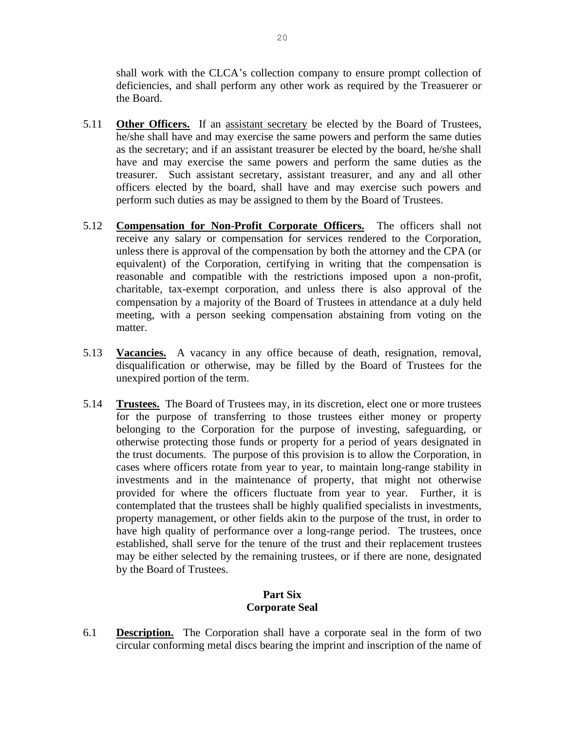shall work with the CLCA's collection company to ensure prompt collection of deficiencies, and shall perform any other work as required by the Treasuerer or the Board.

- 5.11 **Other Officers.** If an assistant secretary be elected by the Board of Trustees, he/she shall have and may exercise the same powers and perform the same duties as the secretary; and if an assistant treasurer be elected by the board, he/she shall have and may exercise the same powers and perform the same duties as the treasurer. Such assistant secretary, assistant treasurer, and any and all other officers elected by the board, shall have and may exercise such powers and perform such duties as may be assigned to them by the Board of Trustees.
- 5.12 **Compensation for Non-Profit Corporate Officers.** The officers shall not receive any salary or compensation for services rendered to the Corporation, unless there is approval of the compensation by both the attorney and the CPA (or equivalent) of the Corporation, certifying in writing that the compensation is reasonable and compatible with the restrictions imposed upon a non-profit, charitable, tax-exempt corporation, and unless there is also approval of the compensation by a majority of the Board of Trustees in attendance at a duly held meeting, with a person seeking compensation abstaining from voting on the matter.
- 5.13 **Vacancies.** A vacancy in any office because of death, resignation, removal, disqualification or otherwise, may be filled by the Board of Trustees for the unexpired portion of the term.
- 5.14 **Trustees.** The Board of Trustees may, in its discretion, elect one or more trustees for the purpose of transferring to those trustees either money or property belonging to the Corporation for the purpose of investing, safeguarding, or otherwise protecting those funds or property for a period of years designated in the trust documents. The purpose of this provision is to allow the Corporation, in cases where officers rotate from year to year, to maintain long-range stability in investments and in the maintenance of property, that might not otherwise provided for where the officers fluctuate from year to year. Further, it is contemplated that the trustees shall be highly qualified specialists in investments, property management, or other fields akin to the purpose of the trust, in order to have high quality of performance over a long-range period. The trustees, once established, shall serve for the tenure of the trust and their replacement trustees may be either selected by the remaining trustees, or if there are none, designated by the Board of Trustees.

# **Part Six Corporate Seal**

6.1 **Description.** The Corporation shall have a corporate seal in the form of two circular conforming metal discs bearing the imprint and inscription of the name of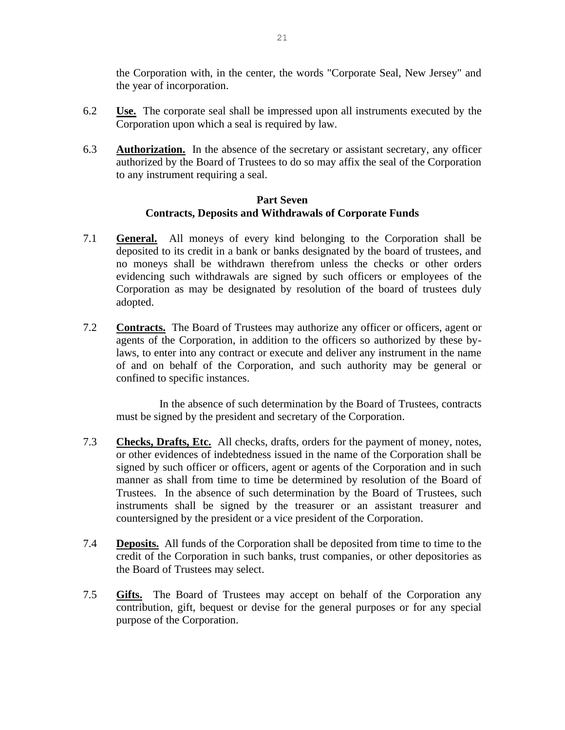the Corporation with, in the center, the words "Corporate Seal, New Jersey" and the year of incorporation.

- 6.2 **Use.** The corporate seal shall be impressed upon all instruments executed by the Corporation upon which a seal is required by law.
- 6.3 **Authorization.** In the absence of the secretary or assistant secretary, any officer authorized by the Board of Trustees to do so may affix the seal of the Corporation to any instrument requiring a seal.

## **Part Seven Contracts, Deposits and Withdrawals of Corporate Funds**

- 7.1 **General.** All moneys of every kind belonging to the Corporation shall be deposited to its credit in a bank or banks designated by the board of trustees, and no moneys shall be withdrawn therefrom unless the checks or other orders evidencing such withdrawals are signed by such officers or employees of the Corporation as may be designated by resolution of the board of trustees duly adopted.
- 7.2 **Contracts.** The Board of Trustees may authorize any officer or officers, agent or agents of the Corporation, in addition to the officers so authorized by these bylaws, to enter into any contract or execute and deliver any instrument in the name of and on behalf of the Corporation, and such authority may be general or confined to specific instances.

In the absence of such determination by the Board of Trustees, contracts must be signed by the president and secretary of the Corporation.

- 7.3 **Checks, Drafts, Etc.** All checks, drafts, orders for the payment of money, notes, or other evidences of indebtedness issued in the name of the Corporation shall be signed by such officer or officers, agent or agents of the Corporation and in such manner as shall from time to time be determined by resolution of the Board of Trustees. In the absence of such determination by the Board of Trustees, such instruments shall be signed by the treasurer or an assistant treasurer and countersigned by the president or a vice president of the Corporation.
- 7.4 **Deposits.** All funds of the Corporation shall be deposited from time to time to the credit of the Corporation in such banks, trust companies, or other depositories as the Board of Trustees may select.
- 7.5 **Gifts.** The Board of Trustees may accept on behalf of the Corporation any contribution, gift, bequest or devise for the general purposes or for any special purpose of the Corporation.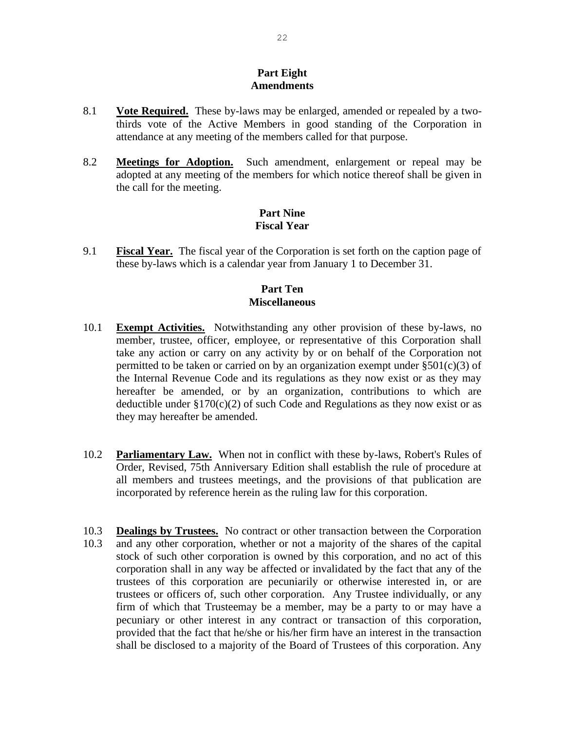#### **Part Eight Amendments**

- 8.1 **Vote Required.** These by-laws may be enlarged, amended or repealed by a twothirds vote of the Active Members in good standing of the Corporation in attendance at any meeting of the members called for that purpose.
- 8.2 **Meetings for Adoption.** Such amendment, enlargement or repeal may be adopted at any meeting of the members for which notice thereof shall be given in the call for the meeting.

## **Part Nine Fiscal Year**

9.1 **Fiscal Year.** The fiscal year of the Corporation is set forth on the caption page of these by-laws which is a calendar year from January 1 to December 31.

# **Part Ten Miscellaneous**

- 10.1 **Exempt Activities.** Notwithstanding any other provision of these by-laws, no member, trustee, officer, employee, or representative of this Corporation shall take any action or carry on any activity by or on behalf of the Corporation not permitted to be taken or carried on by an organization exempt under  $\S 501(c)(3)$  of the Internal Revenue Code and its regulations as they now exist or as they may hereafter be amended, or by an organization, contributions to which are deductible under  $\S170(c)(2)$  of such Code and Regulations as they now exist or as they may hereafter be amended.
- 10.2 **Parliamentary Law.** When not in conflict with these by-laws, Robert's Rules of Order, Revised, 75th Anniversary Edition shall establish the rule of procedure at all members and trustees meetings, and the provisions of that publication are incorporated by reference herein as the ruling law for this corporation.
- 10.3 **Dealings by Trustees.** No contract or other transaction between the Corporation 10.3 and any other corporation, whether or not a majority of the shares of the capital stock of such other corporation is owned by this corporation, and no act of this corporation shall in any way be affected or invalidated by the fact that any of the trustees of this corporation are pecuniarily or otherwise interested in, or are trustees or officers of, such other corporation. Any Trustee individually, or any firm of which that Trusteemay be a member, may be a party to or may have a pecuniary or other interest in any contract or transaction of this corporation, provided that the fact that he/she or his/her firm have an interest in the transaction shall be disclosed to a majority of the Board of Trustees of this corporation. Any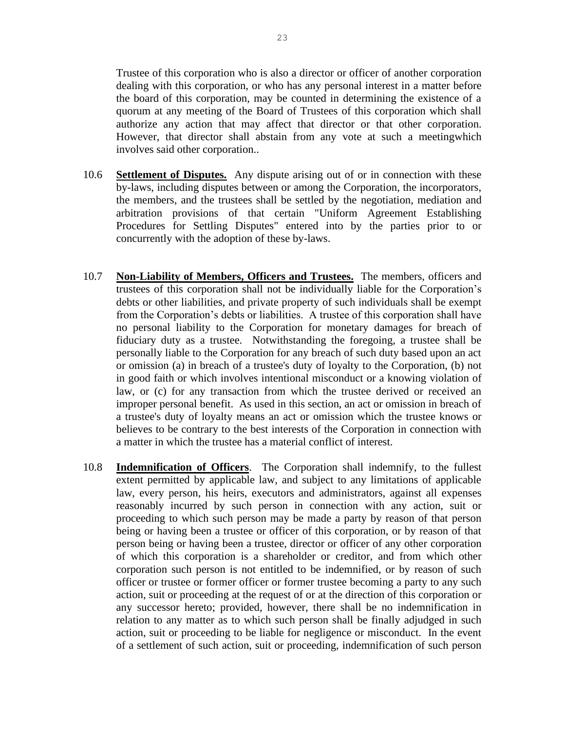Trustee of this corporation who is also a director or officer of another corporation dealing with this corporation, or who has any personal interest in a matter before the board of this corporation, may be counted in determining the existence of a quorum at any meeting of the Board of Trustees of this corporation which shall authorize any action that may affect that director or that other corporation. However, that director shall abstain from any vote at such a meetingwhich involves said other corporation..

- 10.6 **Settlement of Disputes.** Any dispute arising out of or in connection with these by-laws, including disputes between or among the Corporation, the incorporators, the members, and the trustees shall be settled by the negotiation, mediation and arbitration provisions of that certain "Uniform Agreement Establishing Procedures for Settling Disputes" entered into by the parties prior to or concurrently with the adoption of these by-laws.
- 10.7 **Non-Liability of Members, Officers and Trustees.** The members, officers and trustees of this corporation shall not be individually liable for the Corporation's debts or other liabilities, and private property of such individuals shall be exempt from the Corporation's debts or liabilities. A trustee of this corporation shall have no personal liability to the Corporation for monetary damages for breach of fiduciary duty as a trustee. Notwithstanding the foregoing, a trustee shall be personally liable to the Corporation for any breach of such duty based upon an act or omission (a) in breach of a trustee's duty of loyalty to the Corporation, (b) not in good faith or which involves intentional misconduct or a knowing violation of law, or (c) for any transaction from which the trustee derived or received an improper personal benefit. As used in this section, an act or omission in breach of a trustee's duty of loyalty means an act or omission which the trustee knows or believes to be contrary to the best interests of the Corporation in connection with a matter in which the trustee has a material conflict of interest.
- 10.8 **Indemnification of Officers**. The Corporation shall indemnify, to the fullest extent permitted by applicable law, and subject to any limitations of applicable law, every person, his heirs, executors and administrators, against all expenses reasonably incurred by such person in connection with any action, suit or proceeding to which such person may be made a party by reason of that person being or having been a trustee or officer of this corporation, or by reason of that person being or having been a trustee, director or officer of any other corporation of which this corporation is a shareholder or creditor, and from which other corporation such person is not entitled to be indemnified, or by reason of such officer or trustee or former officer or former trustee becoming a party to any such action, suit or proceeding at the request of or at the direction of this corporation or any successor hereto; provided, however, there shall be no indemnification in relation to any matter as to which such person shall be finally adjudged in such action, suit or proceeding to be liable for negligence or misconduct. In the event of a settlement of such action, suit or proceeding, indemnification of such person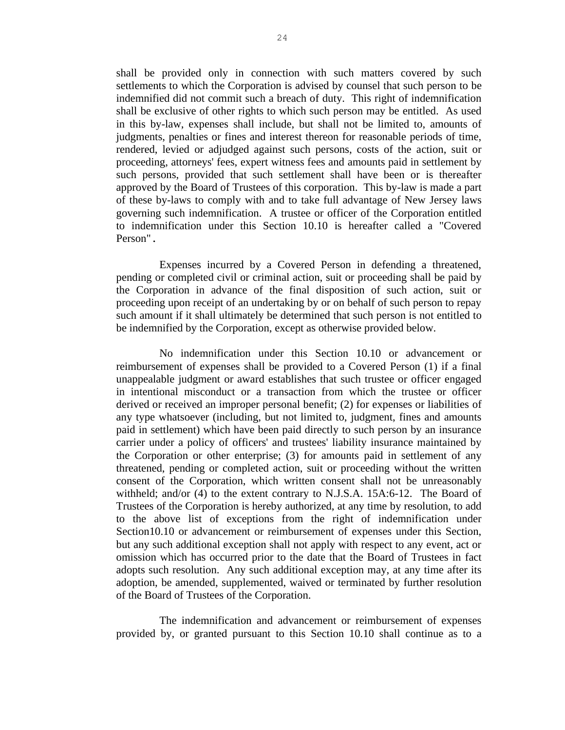shall be provided only in connection with such matters covered by such settlements to which the Corporation is advised by counsel that such person to be indemnified did not commit such a breach of duty. This right of indemnification shall be exclusive of other rights to which such person may be entitled. As used in this by-law, expenses shall include, but shall not be limited to, amounts of judgments, penalties or fines and interest thereon for reasonable periods of time, rendered, levied or adjudged against such persons, costs of the action, suit or proceeding, attorneys' fees, expert witness fees and amounts paid in settlement by such persons, provided that such settlement shall have been or is thereafter approved by the Board of Trustees of this corporation. This by-law is made a part of these by-laws to comply with and to take full advantage of New Jersey laws governing such indemnification. A trustee or officer of the Corporation entitled to indemnification under this Section 10.10 is hereafter called a "Covered Person".

Expenses incurred by a Covered Person in defending a threatened, pending or completed civil or criminal action, suit or proceeding shall be paid by the Corporation in advance of the final disposition of such action, suit or proceeding upon receipt of an undertaking by or on behalf of such person to repay such amount if it shall ultimately be determined that such person is not entitled to be indemnified by the Corporation, except as otherwise provided below.

No indemnification under this Section 10.10 or advancement or reimbursement of expenses shall be provided to a Covered Person (1) if a final unappealable judgment or award establishes that such trustee or officer engaged in intentional misconduct or a transaction from which the trustee or officer derived or received an improper personal benefit; (2) for expenses or liabilities of any type whatsoever (including, but not limited to, judgment, fines and amounts paid in settlement) which have been paid directly to such person by an insurance carrier under a policy of officers' and trustees' liability insurance maintained by the Corporation or other enterprise; (3) for amounts paid in settlement of any threatened, pending or completed action, suit or proceeding without the written consent of the Corporation, which written consent shall not be unreasonably withheld; and/or (4) to the extent contrary to N.J.S.A. 15A:6-12. The Board of Trustees of the Corporation is hereby authorized, at any time by resolution, to add to the above list of exceptions from the right of indemnification under Section10.10 or advancement or reimbursement of expenses under this Section, but any such additional exception shall not apply with respect to any event, act or omission which has occurred prior to the date that the Board of Trustees in fact adopts such resolution. Any such additional exception may, at any time after its adoption, be amended, supplemented, waived or terminated by further resolution of the Board of Trustees of the Corporation.

The indemnification and advancement or reimbursement of expenses provided by, or granted pursuant to this Section 10.10 shall continue as to a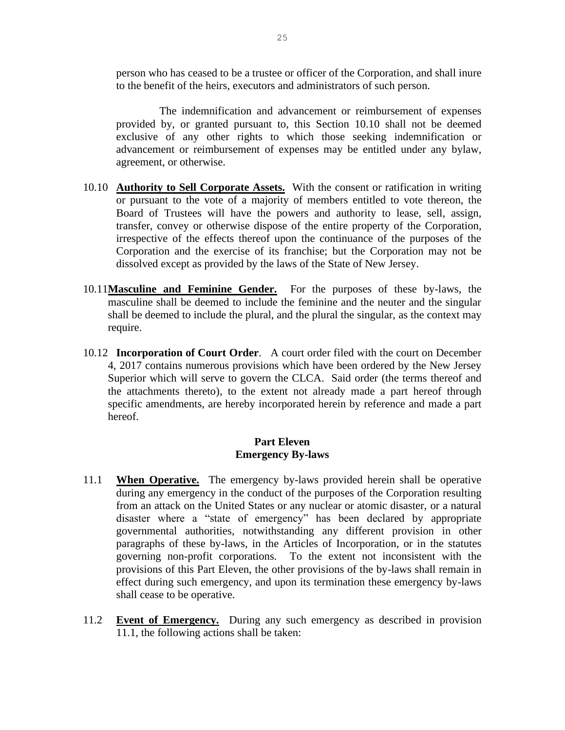person who has ceased to be a trustee or officer of the Corporation, and shall inure to the benefit of the heirs, executors and administrators of such person.

The indemnification and advancement or reimbursement of expenses provided by, or granted pursuant to, this Section 10.10 shall not be deemed exclusive of any other rights to which those seeking indemnification or advancement or reimbursement of expenses may be entitled under any bylaw, agreement, or otherwise.

- 10.10 **Authority to Sell Corporate Assets.** With the consent or ratification in writing or pursuant to the vote of a majority of members entitled to vote thereon, the Board of Trustees will have the powers and authority to lease, sell, assign, transfer, convey or otherwise dispose of the entire property of the Corporation, irrespective of the effects thereof upon the continuance of the purposes of the Corporation and the exercise of its franchise; but the Corporation may not be dissolved except as provided by the laws of the State of New Jersey.
- 10.11**Masculine and Feminine Gender.** For the purposes of these by-laws, the masculine shall be deemed to include the feminine and the neuter and the singular shall be deemed to include the plural, and the plural the singular, as the context may require.
- 10.12 **Incorporation of Court Order**. A court order filed with the court on December 4, 2017 contains numerous provisions which have been ordered by the New Jersey Superior which will serve to govern the CLCA. Said order (the terms thereof and the attachments thereto), to the extent not already made a part hereof through specific amendments, are hereby incorporated herein by reference and made a part hereof.

## **Part Eleven Emergency By-laws**

- 11.1 **When Operative.** The emergency by-laws provided herein shall be operative during any emergency in the conduct of the purposes of the Corporation resulting from an attack on the United States or any nuclear or atomic disaster, or a natural disaster where a "state of emergency" has been declared by appropriate governmental authorities, notwithstanding any different provision in other paragraphs of these by-laws, in the Articles of Incorporation, or in the statutes governing non-profit corporations. To the extent not inconsistent with the provisions of this Part Eleven, the other provisions of the by-laws shall remain in effect during such emergency, and upon its termination these emergency by-laws shall cease to be operative.
- 11.2 **Event of Emergency.** During any such emergency as described in provision 11.1, the following actions shall be taken: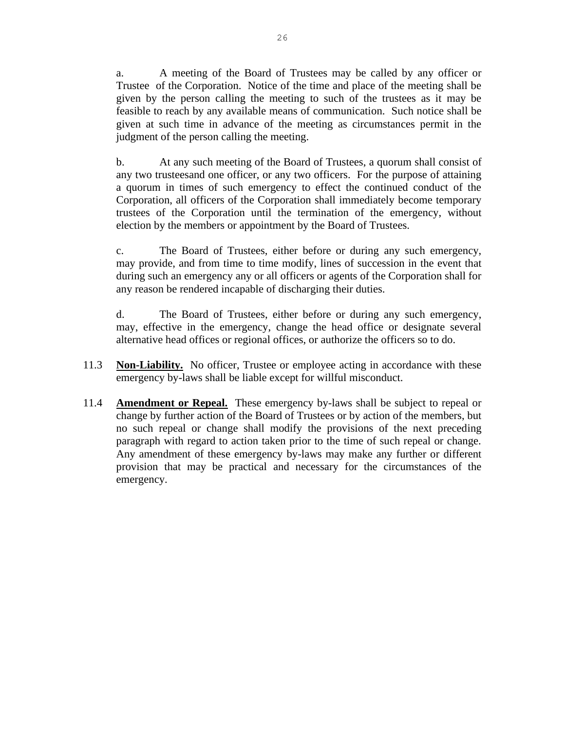a. A meeting of the Board of Trustees may be called by any officer or Trustee of the Corporation. Notice of the time and place of the meeting shall be given by the person calling the meeting to such of the trustees as it may be feasible to reach by any available means of communication. Such notice shall be given at such time in advance of the meeting as circumstances permit in the judgment of the person calling the meeting.

b. At any such meeting of the Board of Trustees, a quorum shall consist of any two trusteesand one officer, or any two officers. For the purpose of attaining a quorum in times of such emergency to effect the continued conduct of the Corporation, all officers of the Corporation shall immediately become temporary trustees of the Corporation until the termination of the emergency, without election by the members or appointment by the Board of Trustees.

c. The Board of Trustees, either before or during any such emergency, may provide, and from time to time modify, lines of succession in the event that during such an emergency any or all officers or agents of the Corporation shall for any reason be rendered incapable of discharging their duties.

d. The Board of Trustees, either before or during any such emergency, may, effective in the emergency, change the head office or designate several alternative head offices or regional offices, or authorize the officers so to do.

- 11.3 **Non-Liability.** No officer, Trustee or employee acting in accordance with these emergency by-laws shall be liable except for willful misconduct.
- 11.4 **Amendment or Repeal.** These emergency by-laws shall be subject to repeal or change by further action of the Board of Trustees or by action of the members, but no such repeal or change shall modify the provisions of the next preceding paragraph with regard to action taken prior to the time of such repeal or change. Any amendment of these emergency by-laws may make any further or different provision that may be practical and necessary for the circumstances of the emergency.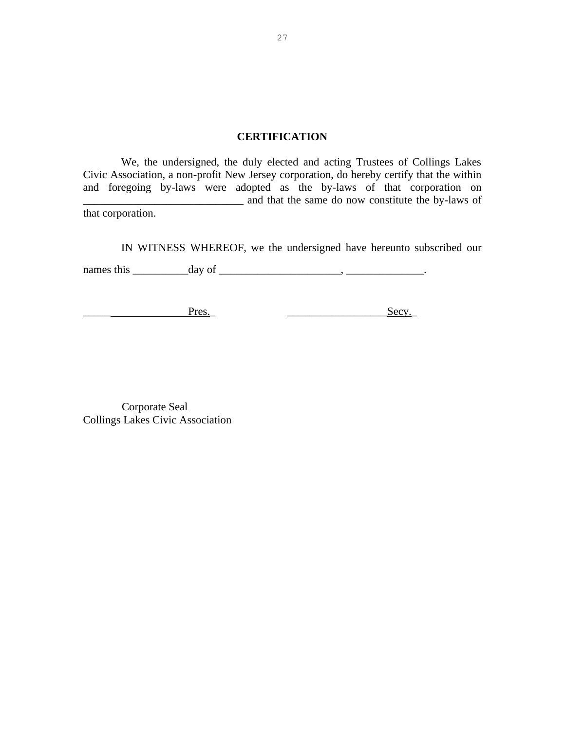## **CERTIFICATION**

We, the undersigned, the duly elected and acting Trustees of Collings Lakes Civic Association, a non-profit New Jersey corporation, do hereby certify that the within and foregoing by-laws were adopted as the by-laws of that corporation on and that the same do now constitute the by-laws of that corporation.

IN WITNESS WHEREOF, we the undersigned have hereunto subscribed our

names this \_\_\_\_\_\_\_\_\_\_day of \_\_\_\_\_\_\_\_\_\_\_\_\_\_\_\_\_\_\_\_\_\_, \_\_\_\_\_\_\_\_\_\_\_\_\_\_.

\_\_\_\_\_ Pres.\_ \_\_\_\_\_\_\_\_\_\_\_\_\_\_\_\_\_\_Secy.\_

 Corporate Seal Collings Lakes Civic Association